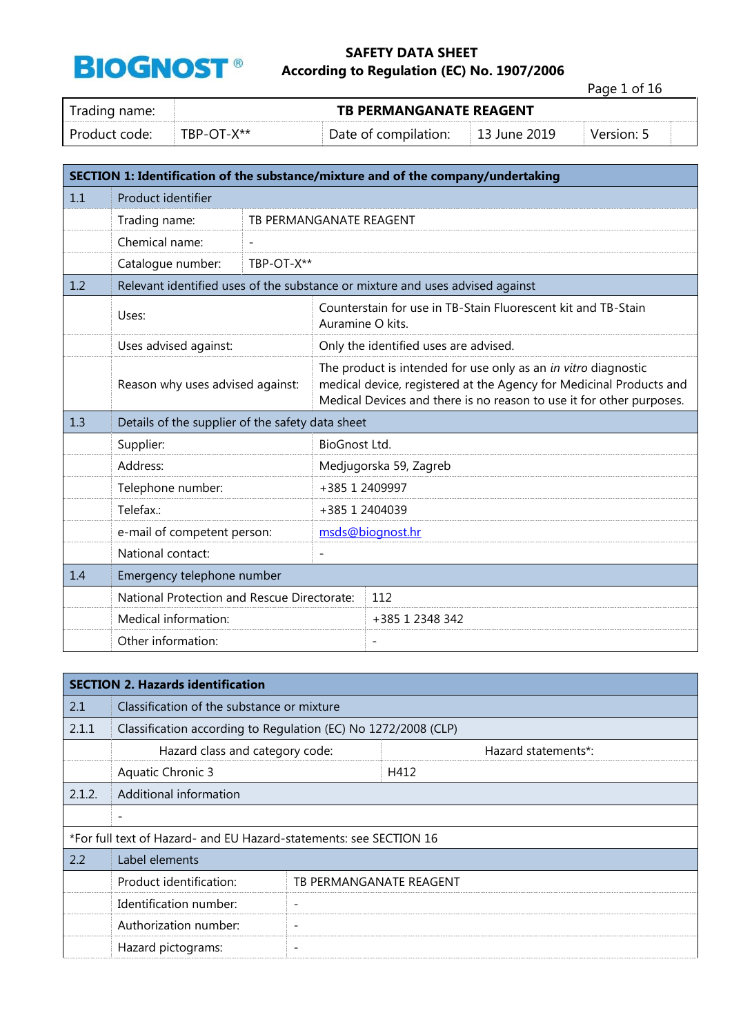

Page 1 of 16

| Irading name: | <b>TB PERMANGANATE REAGENT</b> |                      |                    |                      |  |  |
|---------------|--------------------------------|----------------------|--------------------|----------------------|--|--|
| Product code: | TBP-OT-X**                     | Date of compilation: | $\pm$ 13 June 2019 | Version <sup>.</sup> |  |  |

|     | SECTION 1: Identification of the substance/mixture and of the company/undertaking |                         |                                                                                                                                                                                                               |                                                                               |  |  |
|-----|-----------------------------------------------------------------------------------|-------------------------|---------------------------------------------------------------------------------------------------------------------------------------------------------------------------------------------------------------|-------------------------------------------------------------------------------|--|--|
| 1.1 | Product identifier                                                                |                         |                                                                                                                                                                                                               |                                                                               |  |  |
|     | Trading name:                                                                     | TB PERMANGANATE REAGENT |                                                                                                                                                                                                               |                                                                               |  |  |
|     | Chemical name:                                                                    |                         |                                                                                                                                                                                                               |                                                                               |  |  |
|     | Catalogue number:                                                                 | TBP-OT-X**              |                                                                                                                                                                                                               |                                                                               |  |  |
| 1.2 |                                                                                   |                         |                                                                                                                                                                                                               | Relevant identified uses of the substance or mixture and uses advised against |  |  |
|     | Uses:                                                                             |                         | Auramine O kits.                                                                                                                                                                                              | Counterstain for use in TB-Stain Fluorescent kit and TB-Stain                 |  |  |
|     | Uses advised against:                                                             |                         |                                                                                                                                                                                                               | Only the identified uses are advised.                                         |  |  |
|     | Reason why uses advised against:                                                  |                         | The product is intended for use only as an in vitro diagnostic<br>medical device, registered at the Agency for Medicinal Products and<br>Medical Devices and there is no reason to use it for other purposes. |                                                                               |  |  |
| 1.3 | Details of the supplier of the safety data sheet                                  |                         |                                                                                                                                                                                                               |                                                                               |  |  |
|     | Supplier:                                                                         |                         | BioGnost Ltd.                                                                                                                                                                                                 |                                                                               |  |  |
|     | Address:                                                                          |                         |                                                                                                                                                                                                               | Medjugorska 59, Zagreb                                                        |  |  |
|     | Telephone number:                                                                 |                         | +385 1 2409997                                                                                                                                                                                                |                                                                               |  |  |
|     | Telefax.:                                                                         |                         | +385 1 2404039                                                                                                                                                                                                |                                                                               |  |  |
|     | e-mail of competent person:                                                       |                         |                                                                                                                                                                                                               | msds@biognost.hr                                                              |  |  |
|     | National contact:                                                                 |                         | $\overline{\phantom{0}}$                                                                                                                                                                                      |                                                                               |  |  |
| 1.4 | Emergency telephone number                                                        |                         |                                                                                                                                                                                                               |                                                                               |  |  |
|     | National Protection and Rescue Directorate:                                       |                         |                                                                                                                                                                                                               | 112                                                                           |  |  |
|     | Medical information:                                                              |                         |                                                                                                                                                                                                               | +385 1 2348 342                                                               |  |  |
|     | Other information:                                                                |                         |                                                                                                                                                                                                               | $\overline{\phantom{a}}$                                                      |  |  |

|        | <b>SECTION 2. Hazards identification</b>                           |                          |      |                     |  |
|--------|--------------------------------------------------------------------|--------------------------|------|---------------------|--|
| 2.1    | Classification of the substance or mixture                         |                          |      |                     |  |
| 2.1.1  | Classification according to Regulation (EC) No 1272/2008 (CLP)     |                          |      |                     |  |
|        | Hazard class and category code:                                    |                          |      | Hazard statements*: |  |
|        | Aquatic Chronic 3                                                  |                          | H412 |                     |  |
| 2.1.2. | Additional information                                             |                          |      |                     |  |
|        | $\overline{\phantom{a}}$                                           |                          |      |                     |  |
|        | *For full text of Hazard- and EU Hazard-statements: see SECTION 16 |                          |      |                     |  |
| 2.2    | Label elements                                                     |                          |      |                     |  |
|        | Product identification:                                            | TB PERMANGANATE REAGENT  |      |                     |  |
|        | Identification number:                                             | $\overline{\phantom{0}}$ |      |                     |  |
|        | Authorization number:                                              | $\overline{\phantom{m}}$ |      |                     |  |
|        | Hazard pictograms:                                                 | $\overline{\phantom{m}}$ |      |                     |  |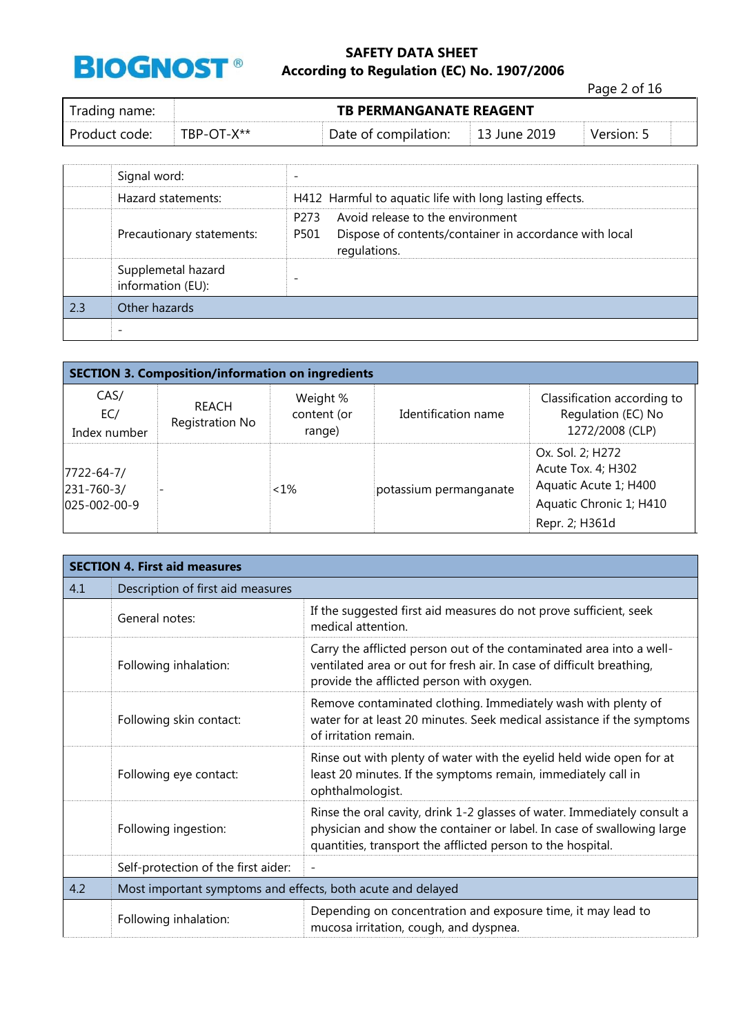

Page 2 of 16

| Trading name:   | <b>TB PERMANGANATE REAGENT</b> |                                           |  |            |  |
|-----------------|--------------------------------|-------------------------------------------|--|------------|--|
| l Product code: | $TRP-OT-X^{**}$                | Date of compilation: $\vert$ 13 June 2019 |  | Version: 5 |  |

|      | Signal word:                            |                                                                                                                            |
|------|-----------------------------------------|----------------------------------------------------------------------------------------------------------------------------|
|      | Hazard statements:                      | H412 Harmful to aquatic life with long lasting effects.                                                                    |
|      | Precautionary statements:               | Avoid release to the environment<br>P273<br>Dispose of contents/container in accordance with local<br>P501<br>regulations. |
|      | Supplemetal hazard<br>information (EU): |                                                                                                                            |
| 12.3 | Other hazards                           |                                                                                                                            |
|      |                                         |                                                                                                                            |

| <b>SECTION 3. Composition/information on ingredients</b> |                          |                                   |                        |                                                                                                              |  |
|----------------------------------------------------------|--------------------------|-----------------------------------|------------------------|--------------------------------------------------------------------------------------------------------------|--|
| CAS/<br>EC/<br>Index number                              | REACH<br>Registration No | Weight %<br>content (or<br>range) | Identification name    | Classification according to<br>Regulation (EC) No<br>1272/2008 (CLP)                                         |  |
| 7722-64-7/<br>231-760-3/<br>025-002-00-9                 |                          | $~1\%$                            | potassium permanganate | Ox. Sol. 2; H272<br>Acute Tox. 4; H302<br>Aquatic Acute 1; H400<br>Aquatic Chronic 1; H410<br>Repr. 2; H361d |  |

|     | <b>SECTION 4. First aid measures</b>                        |                                                                                                                                                                                                                   |  |  |
|-----|-------------------------------------------------------------|-------------------------------------------------------------------------------------------------------------------------------------------------------------------------------------------------------------------|--|--|
| 4.1 | Description of first aid measures                           |                                                                                                                                                                                                                   |  |  |
|     | General notes:                                              | If the suggested first aid measures do not prove sufficient, seek<br>medical attention.                                                                                                                           |  |  |
|     | Following inhalation:                                       | Carry the afflicted person out of the contaminated area into a well-<br>ventilated area or out for fresh air. In case of difficult breathing,<br>provide the afflicted person with oxygen.                        |  |  |
|     | Following skin contact:                                     | Remove contaminated clothing. Immediately wash with plenty of<br>water for at least 20 minutes. Seek medical assistance if the symptoms<br>of irritation remain.                                                  |  |  |
|     | Following eye contact:                                      | Rinse out with plenty of water with the eyelid held wide open for at<br>least 20 minutes. If the symptoms remain, immediately call in<br>ophthalmologist.                                                         |  |  |
|     | Following ingestion:                                        | Rinse the oral cavity, drink 1-2 glasses of water. Immediately consult a<br>physician and show the container or label. In case of swallowing large<br>quantities, transport the afflicted person to the hospital. |  |  |
|     | Self-protection of the first aider:                         |                                                                                                                                                                                                                   |  |  |
| 4.2 | Most important symptoms and effects, both acute and delayed |                                                                                                                                                                                                                   |  |  |
|     | Following inhalation:                                       | Depending on concentration and exposure time, it may lead to<br>mucosa irritation, cough, and dyspnea.                                                                                                            |  |  |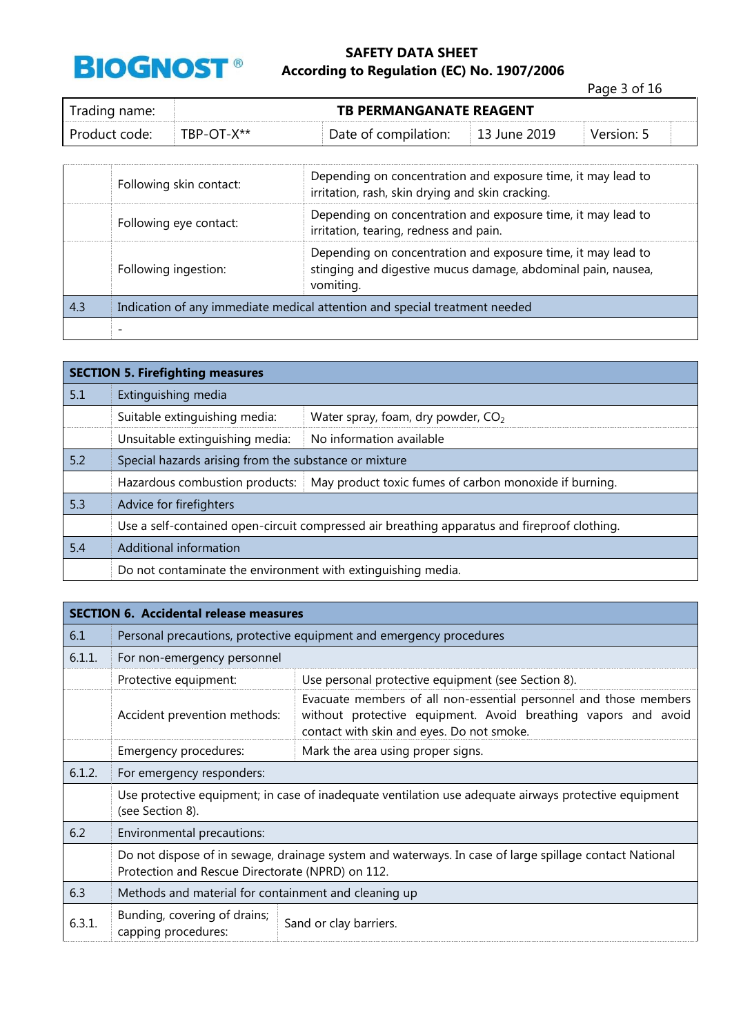

Page 3 of 16

| Trading name: | <b>TB PERMANGANATE REAGENT</b> |                      |              |            |  |
|---------------|--------------------------------|----------------------|--------------|------------|--|
| Product code: | TBP-OT-X**                     | Date of compilation: | 13 June 2019 | Version: 5 |  |

|     | Following skin contact:                                                    | Depending on concentration and exposure time, it may lead to<br>irritation, rash, skin drying and skin cracking.                          |  |
|-----|----------------------------------------------------------------------------|-------------------------------------------------------------------------------------------------------------------------------------------|--|
|     | Following eye contact:                                                     | Depending on concentration and exposure time, it may lead to<br>irritation, tearing, redness and pain.                                    |  |
|     | Following ingestion:                                                       | Depending on concentration and exposure time, it may lead to<br>stinging and digestive mucus damage, abdominal pain, nausea,<br>vomiting. |  |
| 4.3 | Indication of any immediate medical attention and special treatment needed |                                                                                                                                           |  |
|     |                                                                            |                                                                                                                                           |  |

|     | <b>SECTION 5. Firefighting measures</b>                                                      |                                                                                         |  |  |  |
|-----|----------------------------------------------------------------------------------------------|-----------------------------------------------------------------------------------------|--|--|--|
| 5.1 | Extinguishing media                                                                          |                                                                                         |  |  |  |
|     | Suitable extinguishing media:                                                                | Water spray, foam, dry powder, $CO2$                                                    |  |  |  |
|     | Unsuitable extinguishing media:                                                              | No information available                                                                |  |  |  |
| 5.2 | Special hazards arising from the substance or mixture                                        |                                                                                         |  |  |  |
|     |                                                                                              | Hazardous combustion products:   May product toxic fumes of carbon monoxide if burning. |  |  |  |
| 5.3 | Advice for firefighters                                                                      |                                                                                         |  |  |  |
|     | Use a self-contained open-circuit compressed air breathing apparatus and fireproof clothing. |                                                                                         |  |  |  |
| 5.4 | Additional information                                                                       |                                                                                         |  |  |  |
|     | Do not contaminate the environment with extinguishing media.                                 |                                                                                         |  |  |  |

|        | <b>SECTION 6. Accidental release measures</b>                                                                                                              |                                                                                                                                                                                  |  |  |  |
|--------|------------------------------------------------------------------------------------------------------------------------------------------------------------|----------------------------------------------------------------------------------------------------------------------------------------------------------------------------------|--|--|--|
| 6.1    |                                                                                                                                                            | Personal precautions, protective equipment and emergency procedures                                                                                                              |  |  |  |
| 6.1.1. | For non-emergency personnel                                                                                                                                |                                                                                                                                                                                  |  |  |  |
|        | Protective equipment:                                                                                                                                      | Use personal protective equipment (see Section 8).                                                                                                                               |  |  |  |
|        | Accident prevention methods:                                                                                                                               | Evacuate members of all non-essential personnel and those members<br>without protective equipment. Avoid breathing vapors and avoid<br>contact with skin and eyes. Do not smoke. |  |  |  |
|        | Emergency procedures:                                                                                                                                      | Mark the area using proper signs.                                                                                                                                                |  |  |  |
| 6.1.2. | For emergency responders:                                                                                                                                  |                                                                                                                                                                                  |  |  |  |
|        | Use protective equipment; in case of inadequate ventilation use adequate airways protective equipment<br>(see Section 8).                                  |                                                                                                                                                                                  |  |  |  |
| 6.2    | Environmental precautions:                                                                                                                                 |                                                                                                                                                                                  |  |  |  |
|        | Do not dispose of in sewage, drainage system and waterways. In case of large spillage contact National<br>Protection and Rescue Directorate (NPRD) on 112. |                                                                                                                                                                                  |  |  |  |
| 6.3    | Methods and material for containment and cleaning up                                                                                                       |                                                                                                                                                                                  |  |  |  |
| 6.3.1. | Bunding, covering of drains;<br>capping procedures:                                                                                                        | Sand or clay barriers.                                                                                                                                                           |  |  |  |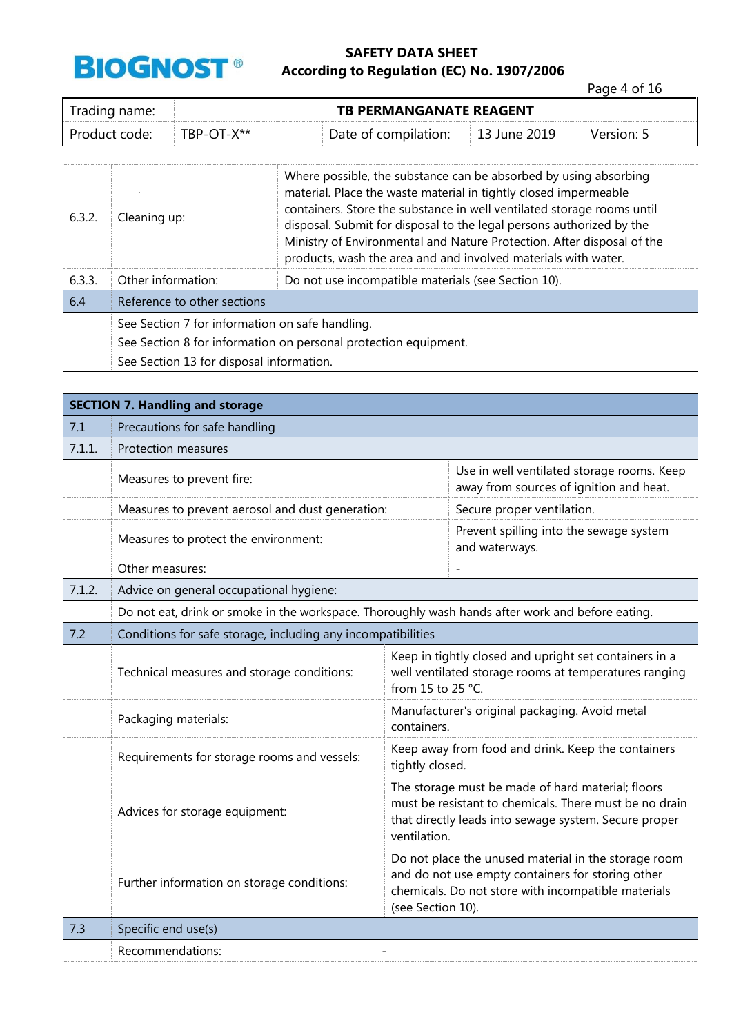

Page 4 of 16

| Trading name: | <b>TB PERMANGANATE REAGENT</b> |                      |                          |            |  |  |
|---------------|--------------------------------|----------------------|--------------------------|------------|--|--|
| Product code: | TBP-OT-X**                     | Date of compilation: | $\parallel$ 13 June 2019 | Version: 5 |  |  |

| 6.3.2. | Cleaning up:                                                    | Where possible, the substance can be absorbed by using absorbing<br>material. Place the waste material in tightly closed impermeable<br>containers. Store the substance in well ventilated storage rooms until<br>disposal. Submit for disposal to the legal persons authorized by the<br>Ministry of Environmental and Nature Protection. After disposal of the<br>products, wash the area and and involved materials with water. |  |
|--------|-----------------------------------------------------------------|------------------------------------------------------------------------------------------------------------------------------------------------------------------------------------------------------------------------------------------------------------------------------------------------------------------------------------------------------------------------------------------------------------------------------------|--|
| 6.3.3. | Other information:                                              | Do not use incompatible materials (see Section 10).                                                                                                                                                                                                                                                                                                                                                                                |  |
| 6.4    | Reference to other sections                                     |                                                                                                                                                                                                                                                                                                                                                                                                                                    |  |
|        | See Section 7 for information on safe handling.                 |                                                                                                                                                                                                                                                                                                                                                                                                                                    |  |
|        | See Section 8 for information on personal protection equipment. |                                                                                                                                                                                                                                                                                                                                                                                                                                    |  |
|        | See Section 13 for disposal information.                        |                                                                                                                                                                                                                                                                                                                                                                                                                                    |  |

|        | <b>SECTION 7. Handling and storage</b>                                                           |                                                                                                                                                                                      |                                                                                                                                                                  |  |  |
|--------|--------------------------------------------------------------------------------------------------|--------------------------------------------------------------------------------------------------------------------------------------------------------------------------------------|------------------------------------------------------------------------------------------------------------------------------------------------------------------|--|--|
| 7.1    | Precautions for safe handling                                                                    |                                                                                                                                                                                      |                                                                                                                                                                  |  |  |
| 7.1.1. | Protection measures                                                                              |                                                                                                                                                                                      |                                                                                                                                                                  |  |  |
|        | Measures to prevent fire:                                                                        |                                                                                                                                                                                      | Use in well ventilated storage rooms. Keep<br>away from sources of ignition and heat.                                                                            |  |  |
|        | Measures to prevent aerosol and dust generation:                                                 |                                                                                                                                                                                      | Secure proper ventilation.                                                                                                                                       |  |  |
|        | Measures to protect the environment:                                                             |                                                                                                                                                                                      | Prevent spilling into the sewage system<br>and waterways.                                                                                                        |  |  |
|        | Other measures:                                                                                  |                                                                                                                                                                                      |                                                                                                                                                                  |  |  |
| 7.1.2. | Advice on general occupational hygiene:                                                          |                                                                                                                                                                                      |                                                                                                                                                                  |  |  |
|        | Do not eat, drink or smoke in the workspace. Thoroughly wash hands after work and before eating. |                                                                                                                                                                                      |                                                                                                                                                                  |  |  |
| 7.2    | Conditions for safe storage, including any incompatibilities                                     |                                                                                                                                                                                      |                                                                                                                                                                  |  |  |
|        | Technical measures and storage conditions:                                                       | from 15 to 25 °C.                                                                                                                                                                    | Keep in tightly closed and upright set containers in a<br>well ventilated storage rooms at temperatures ranging                                                  |  |  |
|        | Packaging materials:                                                                             | Manufacturer's original packaging. Avoid metal<br>containers.                                                                                                                        |                                                                                                                                                                  |  |  |
|        | Requirements for storage rooms and vessels:                                                      | tightly closed.                                                                                                                                                                      | Keep away from food and drink. Keep the containers                                                                                                               |  |  |
|        | Advices for storage equipment:                                                                   | The storage must be made of hard material; floors<br>must be resistant to chemicals. There must be no drain<br>that directly leads into sewage system. Secure proper<br>ventilation. |                                                                                                                                                                  |  |  |
|        | Further information on storage conditions:                                                       | (see Section 10).                                                                                                                                                                    | Do not place the unused material in the storage room<br>and do not use empty containers for storing other<br>chemicals. Do not store with incompatible materials |  |  |
| 7.3    | Specific end use(s)                                                                              |                                                                                                                                                                                      |                                                                                                                                                                  |  |  |
|        | Recommendations:                                                                                 |                                                                                                                                                                                      |                                                                                                                                                                  |  |  |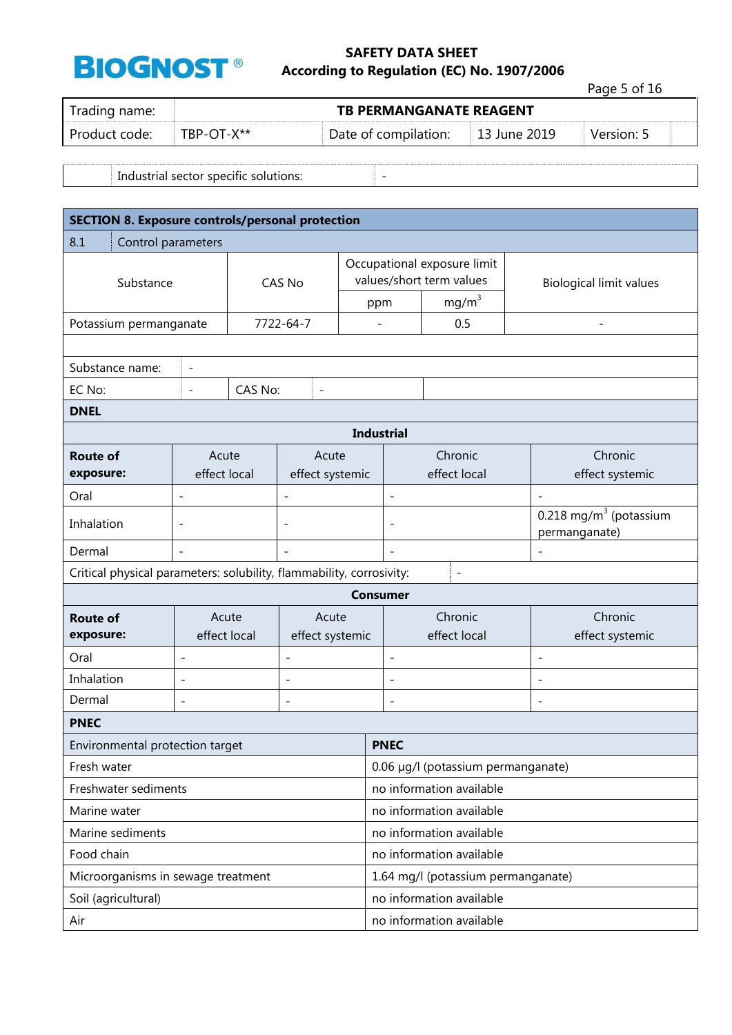

Page 5 of 16

| Trading name: |            | <b>TB PERMANGANATE REAGENT</b> |                |            |  |
|---------------|------------|--------------------------------|----------------|------------|--|
| Product code: | TBP-OT-X** | Date of compilation:           | □ 13 June 2019 | Version: 5 |  |

Industrial sector specific solutions:  $\vert$  -

| <b>SECTION 8. Exposure controls/personal protection</b>              |                                    |         |                          |                   |                                                         |                          |                                                       |  |
|----------------------------------------------------------------------|------------------------------------|---------|--------------------------|-------------------|---------------------------------------------------------|--------------------------|-------------------------------------------------------|--|
| 8.1<br>Control parameters                                            |                                    |         |                          |                   |                                                         |                          |                                                       |  |
| Substance                                                            |                                    | CAS No  |                          |                   | Occupational exposure limit<br>values/short term values |                          | <b>Biological limit values</b>                        |  |
|                                                                      |                                    |         |                          |                   | ppm                                                     | mg/m <sup>3</sup>        |                                                       |  |
| 7722-64-7<br>Potassium permanganate                                  |                                    |         |                          | $\qquad \qquad -$ | 0.5                                                     |                          |                                                       |  |
|                                                                      |                                    |         |                          |                   |                                                         |                          |                                                       |  |
| Substance name:                                                      | $\qquad \qquad -$                  | CAS No: |                          |                   |                                                         |                          |                                                       |  |
| EC No:                                                               | $\overline{a}$                     |         | $\overline{a}$           |                   |                                                         |                          |                                                       |  |
| <b>DNEL</b>                                                          |                                    |         |                          |                   | <b>Industrial</b>                                       |                          |                                                       |  |
|                                                                      |                                    |         |                          |                   |                                                         |                          |                                                       |  |
| <b>Route of</b><br>exposure:                                         | Acute<br>effect local              |         | Acute<br>effect systemic |                   |                                                         | Chronic<br>effect local  | Chronic<br>effect systemic                            |  |
| Oral                                                                 |                                    |         |                          |                   | ÷,                                                      |                          |                                                       |  |
| Inhalation                                                           | $\overline{\phantom{a}}$           |         |                          |                   | $\overline{a}$                                          |                          | $0.218$ mg/m <sup>3</sup> (potassium<br>permanganate) |  |
| Dermal                                                               |                                    |         |                          |                   |                                                         |                          |                                                       |  |
| Critical physical parameters: solubility, flammability, corrosivity: |                                    |         |                          |                   |                                                         | $\overline{\phantom{a}}$ |                                                       |  |
|                                                                      |                                    |         |                          |                   | <b>Consumer</b>                                         |                          |                                                       |  |
| <b>Route of</b><br>exposure:                                         | Acute<br>effect local              |         | Acute<br>effect systemic |                   | Chronic<br>effect local                                 |                          | Chronic<br>effect systemic                            |  |
| Oral                                                                 | $\overline{\phantom{a}}$           |         | $\overline{\phantom{a}}$ |                   | $\overline{\phantom{0}}$                                |                          | $\overline{\phantom{a}}$                              |  |
| Inhalation                                                           | $\overline{\phantom{a}}$           |         | $\overline{\phantom{a}}$ |                   | $\overline{\phantom{0}}$                                |                          | $\overline{\phantom{a}}$                              |  |
| Dermal                                                               | $\qquad \qquad -$                  |         | $\overline{\phantom{0}}$ |                   | $\overline{\phantom{a}}$<br>$\qquad \qquad -$           |                          |                                                       |  |
| <b>PNEC</b>                                                          |                                    |         |                          |                   |                                                         |                          |                                                       |  |
| Environmental protection target                                      |                                    |         |                          |                   | <b>PNEC</b>                                             |                          |                                                       |  |
| Fresh water                                                          |                                    |         |                          |                   | 0.06 µg/l (potassium permanganate)                      |                          |                                                       |  |
| Freshwater sediments                                                 |                                    |         |                          |                   | no information available                                |                          |                                                       |  |
| Marine water                                                         |                                    |         |                          |                   | no information available                                |                          |                                                       |  |
| Marine sediments                                                     |                                    |         |                          |                   | no information available                                |                          |                                                       |  |
| Food chain                                                           |                                    |         |                          |                   | no information available                                |                          |                                                       |  |
|                                                                      | Microorganisms in sewage treatment |         |                          |                   | 1.64 mg/l (potassium permanganate)                      |                          |                                                       |  |
| Soil (agricultural)                                                  |                                    |         |                          |                   |                                                         | no information available |                                                       |  |
| Air                                                                  |                                    |         |                          |                   |                                                         | no information available |                                                       |  |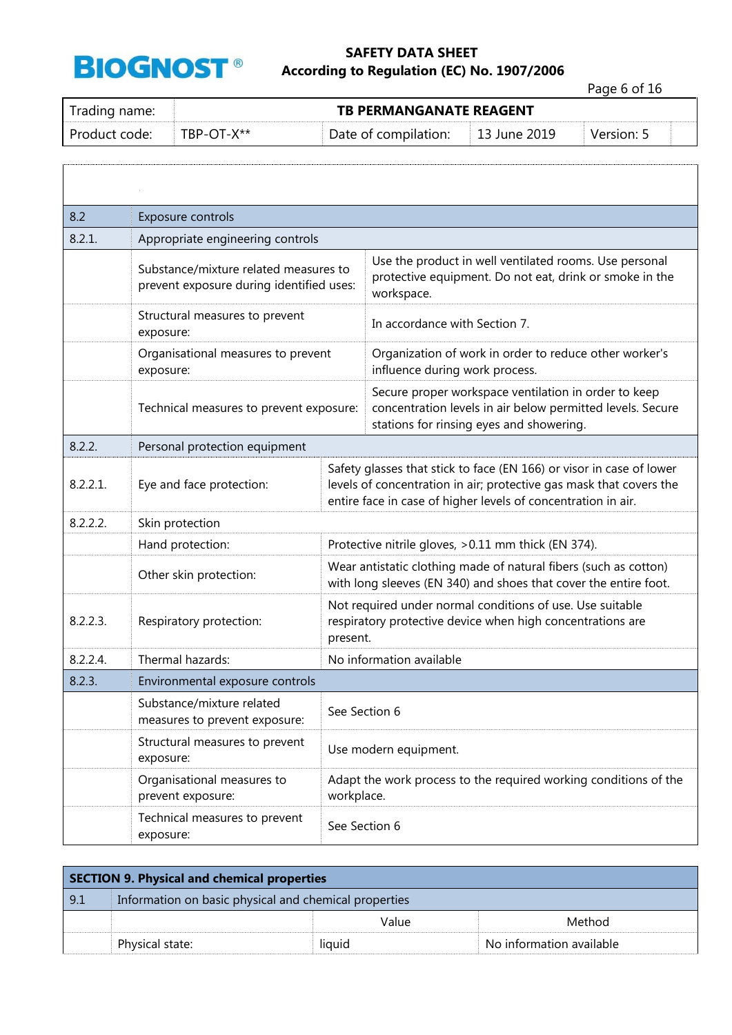

Page 6 of 16

| Trading name: |            | <b>TB PERMANGANATE REAGENT</b> |              |            |
|---------------|------------|--------------------------------|--------------|------------|
| Product code: | TBP-OT-X** | Date of compilation:           | 13 June 2019 | Version: 5 |

| 8.2      | Exposure controls                                                                 |               |                                                                                                                                                                                                              |
|----------|-----------------------------------------------------------------------------------|---------------|--------------------------------------------------------------------------------------------------------------------------------------------------------------------------------------------------------------|
| 8.2.1.   | Appropriate engineering controls                                                  |               |                                                                                                                                                                                                              |
|          | Substance/mixture related measures to<br>prevent exposure during identified uses: |               | Use the product in well ventilated rooms. Use personal<br>protective equipment. Do not eat, drink or smoke in the<br>workspace.                                                                              |
|          | Structural measures to prevent<br>exposure:                                       |               | In accordance with Section 7.                                                                                                                                                                                |
|          | Organisational measures to prevent<br>exposure:                                   |               | Organization of work in order to reduce other worker's<br>influence during work process.                                                                                                                     |
|          | Technical measures to prevent exposure:                                           |               | Secure proper workspace ventilation in order to keep<br>concentration levels in air below permitted levels. Secure<br>stations for rinsing eyes and showering.                                               |
| 8.2.2.   | Personal protection equipment                                                     |               |                                                                                                                                                                                                              |
| 8.2.2.1. | Eye and face protection:                                                          |               | Safety glasses that stick to face (EN 166) or visor in case of lower<br>levels of concentration in air; protective gas mask that covers the<br>entire face in case of higher levels of concentration in air. |
| 8.2.2.2. | Skin protection                                                                   |               |                                                                                                                                                                                                              |
|          | Hand protection:                                                                  |               | Protective nitrile gloves, > 0.11 mm thick (EN 374).                                                                                                                                                         |
|          | Other skin protection:                                                            |               | Wear antistatic clothing made of natural fibers (such as cotton)<br>with long sleeves (EN 340) and shoes that cover the entire foot.                                                                         |
| 8.2.2.3. | Respiratory protection:                                                           | present.      | Not required under normal conditions of use. Use suitable<br>respiratory protective device when high concentrations are                                                                                      |
| 8.2.2.4. | Thermal hazards:                                                                  |               | No information available                                                                                                                                                                                     |
| 8.2.3.   | Environmental exposure controls                                                   |               |                                                                                                                                                                                                              |
|          | Substance/mixture related<br>measures to prevent exposure:                        | See Section 6 |                                                                                                                                                                                                              |
|          | Structural measures to prevent<br>exposure:                                       |               | Use modern equipment.                                                                                                                                                                                        |
|          | Organisational measures to<br>prevent exposure:                                   | workplace.    | Adapt the work process to the required working conditions of the                                                                                                                                             |
|          | Technical measures to prevent<br>exposure:                                        | See Section 6 |                                                                                                                                                                                                              |

| <b>SECTION 9. Physical and chemical properties</b> |                                                       |        |                          |  |  |
|----------------------------------------------------|-------------------------------------------------------|--------|--------------------------|--|--|
| 9.1                                                | Information on basic physical and chemical properties |        |                          |  |  |
|                                                    |                                                       | Value  | Method                   |  |  |
|                                                    | Physical state:                                       | liquid | No information available |  |  |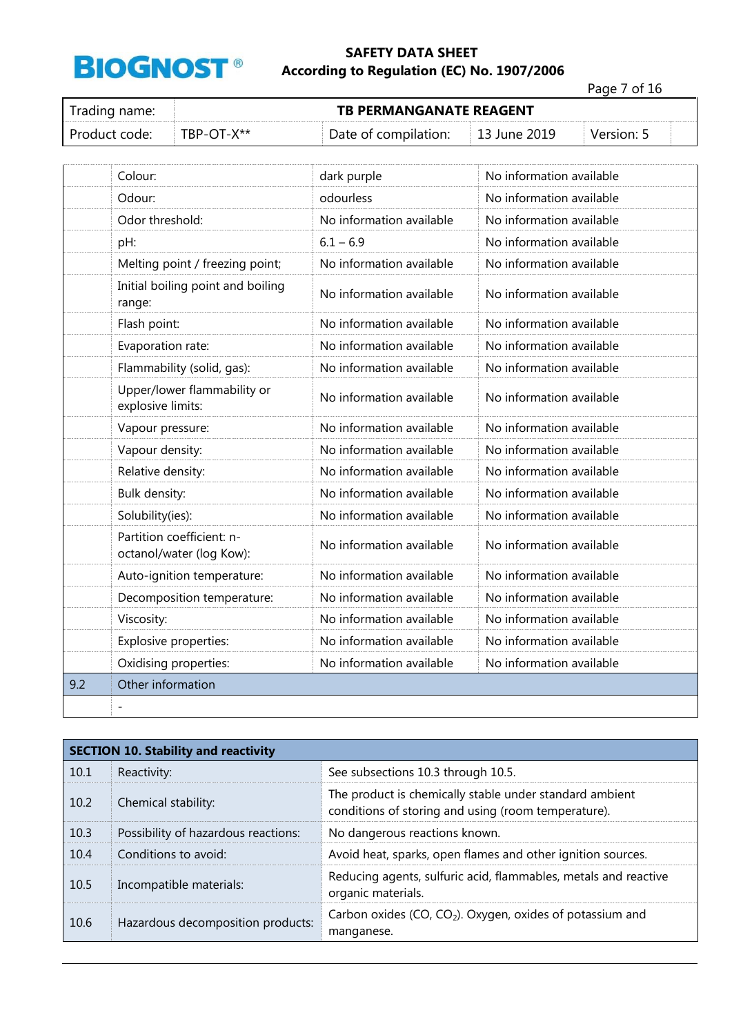

Page 7 of 16

| Trading name: |            |                      | <b>TB PERMANGANATE REAGENT</b> |            |  |
|---------------|------------|----------------------|--------------------------------|------------|--|
| Product code: | ⊤RP-∩T-X** | Date of compilation: | $\pm 13$ June 2019             | Version: 5 |  |

|     | Colour:                                               | dark purple              | No information available |
|-----|-------------------------------------------------------|--------------------------|--------------------------|
|     | Odour:                                                | odourless                | No information available |
|     | Odor threshold:                                       | No information available | No information available |
|     | pH:                                                   | $6.1 - 6.9$              | No information available |
|     | Melting point / freezing point;                       | No information available | No information available |
|     | Initial boiling point and boiling<br>range:           | No information available | No information available |
|     | Flash point:                                          | No information available | No information available |
|     | Evaporation rate:                                     | No information available | No information available |
|     | Flammability (solid, gas):                            | No information available | No information available |
|     | Upper/lower flammability or<br>explosive limits:      | No information available | No information available |
|     | Vapour pressure:                                      | No information available | No information available |
|     | Vapour density:                                       | No information available | No information available |
|     | Relative density:                                     | No information available | No information available |
|     | Bulk density:                                         | No information available | No information available |
|     | Solubility(ies):                                      | No information available | No information available |
|     | Partition coefficient: n-<br>octanol/water (log Kow): | No information available | No information available |
|     | Auto-ignition temperature:                            | No information available | No information available |
|     | Decomposition temperature:                            | No information available | No information available |
|     | Viscosity:                                            | No information available | No information available |
|     | Explosive properties:                                 | No information available | No information available |
|     | Oxidising properties:                                 | No information available | No information available |
| 9.2 | Other information                                     |                          |                          |
|     |                                                       |                          |                          |

|      | <b>SECTION 10. Stability and reactivity</b> |                                                                                                                |  |
|------|---------------------------------------------|----------------------------------------------------------------------------------------------------------------|--|
| 10.1 | Reactivity:                                 | See subsections 10.3 through 10.5.                                                                             |  |
| 10.2 | Chemical stability:                         | The product is chemically stable under standard ambient<br>conditions of storing and using (room temperature). |  |
| 10.3 | Possibility of hazardous reactions:         | No dangerous reactions known.                                                                                  |  |
| 10.4 | Conditions to avoid:                        | Avoid heat, sparks, open flames and other ignition sources.                                                    |  |
| 10.5 | Incompatible materials:                     | Reducing agents, sulfuric acid, flammables, metals and reactive<br>organic materials.                          |  |
| 10.6 | Hazardous decomposition products:           | Carbon oxides (CO, CO <sub>2</sub> ). Oxygen, oxides of potassium and<br>manganese.                            |  |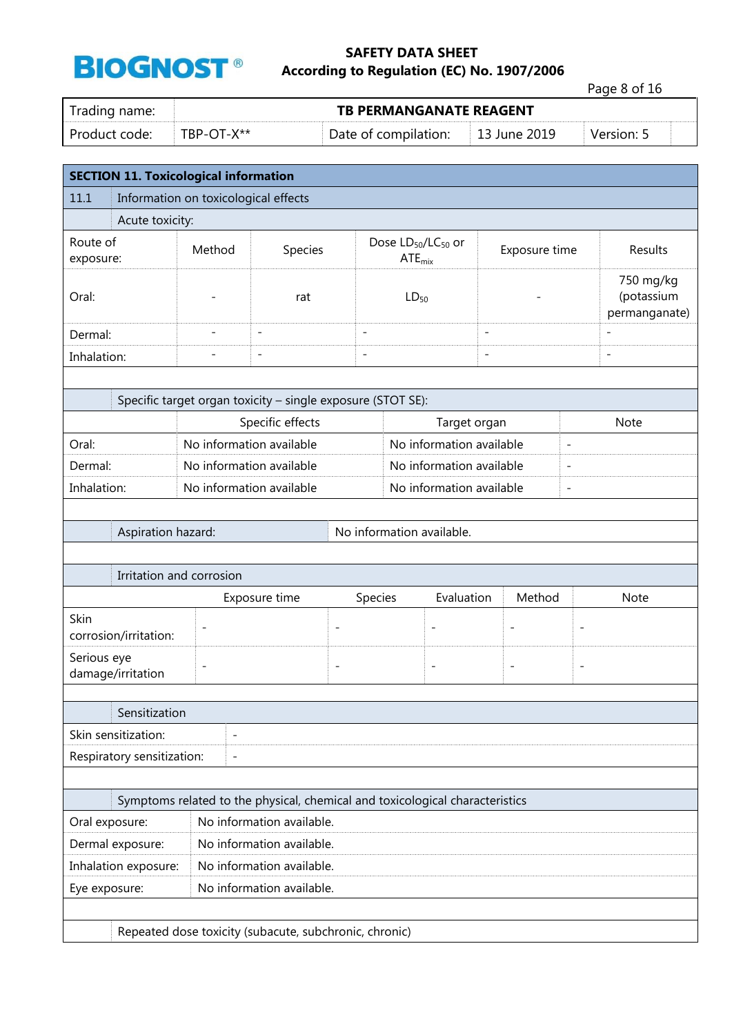|                                              |                                      |                                                             |                          |                                          |                          |                          | Page 8 of 16                             |  |  |
|----------------------------------------------|--------------------------------------|-------------------------------------------------------------|--------------------------|------------------------------------------|--------------------------|--------------------------|------------------------------------------|--|--|
| Trading name:                                |                                      | <b>TB PERMANGANATE REAGENT</b>                              |                          |                                          |                          |                          |                                          |  |  |
| Product code:                                | TBP-OT-X**                           |                                                             | Date of compilation:     |                                          | 13 June 2019             |                          | Version: 5                               |  |  |
| <b>SECTION 11. Toxicological information</b> |                                      |                                                             |                          |                                          |                          |                          |                                          |  |  |
| 11.1                                         | Information on toxicological effects |                                                             |                          |                                          |                          |                          |                                          |  |  |
| Acute toxicity:                              |                                      |                                                             |                          |                                          |                          |                          |                                          |  |  |
| Route of<br>exposure:                        | Method                               | Species                                                     |                          | Dose $LD_{50}/LC_{50}$ or<br>$ATE_{mix}$ | Exposure time            |                          | Results                                  |  |  |
| Oral:                                        |                                      | rat                                                         |                          | $LD_{50}$                                |                          |                          | 750 mg/kg<br>(potassium<br>permanganate) |  |  |
| Dermal:                                      |                                      | $\overline{a}$                                              | $\overline{\phantom{a}}$ |                                          | $\overline{\phantom{0}}$ |                          |                                          |  |  |
| Inhalation:                                  |                                      | $\overline{a}$                                              | $\overline{\phantom{a}}$ |                                          | $\overline{a}$           |                          | $\overline{a}$                           |  |  |
|                                              |                                      |                                                             |                          |                                          |                          |                          |                                          |  |  |
|                                              |                                      | Specific target organ toxicity - single exposure (STOT SE): |                          |                                          |                          |                          |                                          |  |  |
|                                              |                                      | Specific effects                                            |                          |                                          | Target organ             |                          | <b>Note</b>                              |  |  |
| Oral:                                        |                                      | No information available                                    | No information available |                                          | $\overline{\phantom{0}}$ |                          |                                          |  |  |
| Dermal:                                      |                                      | No information available                                    |                          | No information available                 |                          | $\overline{\phantom{0}}$ |                                          |  |  |
| Inhalation:                                  |                                      | No information available                                    | No information available |                                          |                          | $\overline{\phantom{0}}$ |                                          |  |  |
|                                              |                                      |                                                             |                          |                                          |                          |                          |                                          |  |  |
|                                              | Aspiration hazard:                   |                                                             |                          | No information available.                |                          |                          |                                          |  |  |
|                                              |                                      |                                                             |                          |                                          |                          |                          |                                          |  |  |
|                                              | Irritation and corrosion             |                                                             |                          |                                          |                          |                          |                                          |  |  |
|                                              |                                      | Exposure time                                               | Species                  | Evaluation                               | Method                   |                          | <b>Note</b>                              |  |  |
| Skin<br>corrosion/irritation:                |                                      |                                                             | $\overline{a}$           | $\qquad \qquad -$                        |                          |                          |                                          |  |  |
| Serious eye<br>damage/irritation             |                                      |                                                             | $\overline{\phantom{0}}$ | $\overline{\phantom{a}}$                 | -                        | $\overline{\phantom{a}}$ |                                          |  |  |
| Sensitization                                |                                      |                                                             |                          |                                          |                          |                          |                                          |  |  |
| Skin sensitization:                          | $\overline{a}$                       |                                                             |                          |                                          |                          |                          |                                          |  |  |
| Respiratory sensitization:                   | $\overline{a}$                       |                                                             |                          |                                          |                          |                          |                                          |  |  |

| Symptoms related to the physical, chemical and toxicological characteristics |                           |  |  |
|------------------------------------------------------------------------------|---------------------------|--|--|
| Oral exposure:                                                               | No information available. |  |  |
| Dermal exposure:                                                             | No information available. |  |  |
| Inhalation exposure:                                                         | No information available. |  |  |
| Eye exposure:                                                                | No information available. |  |  |
|                                                                              |                           |  |  |
| Repeated dose toxicity (subacute, subchronic, chronic)                       |                           |  |  |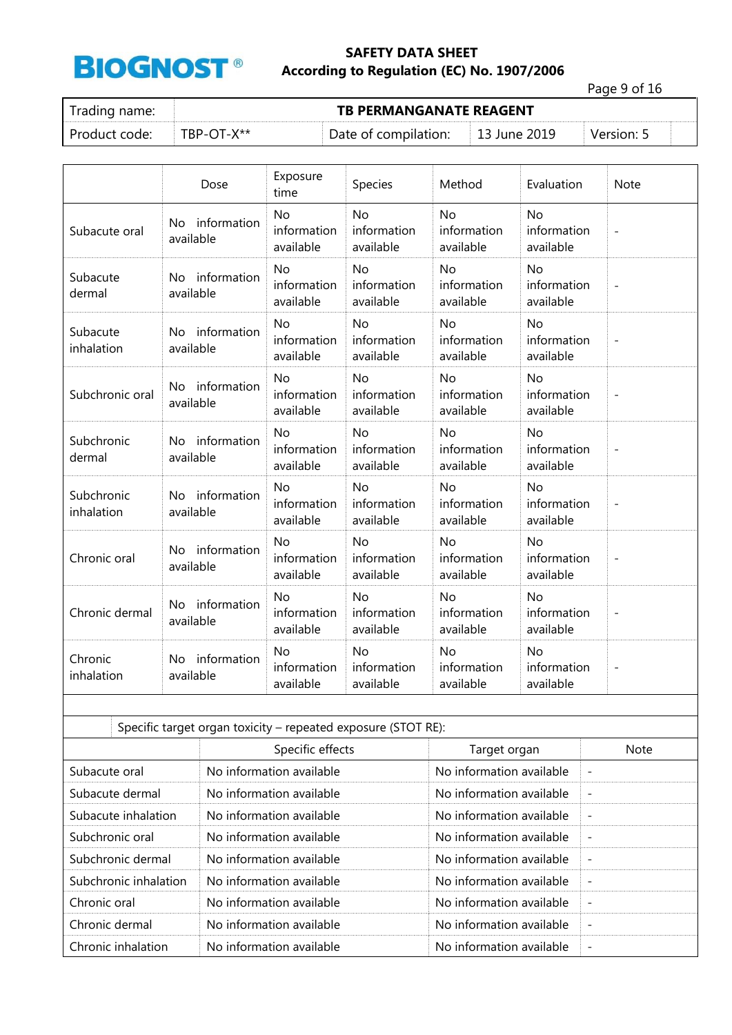

Page 9 of 16

|  | Trading name: |  |  |
|--|---------------|--|--|
|  |               |  |  |

**TB PERMANGANATE REAGENT** 

Product code: TBP-OT-X\*\* Date of compilation: 13 June 2019 Version: 5

|                          | Dose                                                          | Exposure<br>time                      | Species                               | Method                                | Evaluation                            | <b>Note</b>              |
|--------------------------|---------------------------------------------------------------|---------------------------------------|---------------------------------------|---------------------------------------|---------------------------------------|--------------------------|
| Subacute oral            | No information<br>available                                   | <b>No</b><br>information<br>available | <b>No</b><br>information<br>available | <b>No</b><br>information<br>available | <b>No</b><br>information<br>available | $\qquad \qquad -$        |
| Subacute<br>dermal       | information<br>No.<br>available                               | <b>No</b><br>information<br>available | <b>No</b><br>information<br>available | <b>No</b><br>information<br>available | <b>No</b><br>information<br>available | $\overline{a}$           |
| Subacute<br>inhalation   | No information<br>available                                   | <b>No</b><br>information<br>available | <b>No</b><br>information<br>available | <b>No</b><br>information<br>available | <b>No</b><br>information<br>available | $\overline{a}$           |
| Subchronic oral          | No information<br>available                                   | <b>No</b><br>information<br>available | <b>No</b><br>information<br>available | No<br>information<br>available        | <b>No</b><br>information<br>available | $\overline{a}$           |
| Subchronic<br>dermal     | information<br>No<br>available                                | <b>No</b><br>information<br>available | <b>No</b><br>information<br>available | <b>No</b><br>information<br>available | <b>No</b><br>information<br>available | $\overline{a}$           |
| Subchronic<br>inhalation | No information<br>available                                   | <b>No</b><br>information<br>available | <b>No</b><br>information<br>available | <b>No</b><br>information<br>available | <b>No</b><br>information<br>available | $\overline{a}$           |
| Chronic oral             | information<br>No<br>available                                | <b>No</b><br>information<br>available | <b>No</b><br>information<br>available | <b>No</b><br>information<br>available | <b>No</b><br>information<br>available | $\overline{\phantom{a}}$ |
| Chronic dermal           | No information<br>available                                   | <b>No</b><br>information<br>available | <b>No</b><br>information<br>available | No<br>information<br>available        | <b>No</b><br>information<br>available | $\qquad \qquad -$        |
| Chronic<br>inhalation    | No information<br>available                                   | <b>No</b><br>information<br>available | <b>No</b><br>information<br>available | <b>No</b><br>information<br>available | <b>No</b><br>information<br>available | $\overline{\phantom{a}}$ |
|                          |                                                               |                                       |                                       |                                       |                                       |                          |
|                          | Specific target organ toxicity - repeated exposure (STOT RE): |                                       |                                       |                                       |                                       |                          |

|                       | $\frac{1}{2}$            |                          |                          |  |  |  |  |
|-----------------------|--------------------------|--------------------------|--------------------------|--|--|--|--|
|                       | Specific effects         | Target organ             | <b>Note</b>              |  |  |  |  |
| Subacute oral         | No information available | No information available | $\overline{\phantom{a}}$ |  |  |  |  |
| Subacute dermal       | No information available | No information available | $\overline{\phantom{a}}$ |  |  |  |  |
| Subacute inhalation   | No information available | No information available | $\overline{\phantom{a}}$ |  |  |  |  |
| Subchronic oral       | No information available | No information available | $\overline{\phantom{a}}$ |  |  |  |  |
| Subchronic dermal     | No information available | No information available | $\overline{\phantom{a}}$ |  |  |  |  |
| Subchronic inhalation | No information available | No information available | $\overline{\phantom{a}}$ |  |  |  |  |
| Chronic oral          | No information available | No information available | $\overline{\phantom{a}}$ |  |  |  |  |
| Chronic dermal        | No information available | No information available | $\overline{\phantom{a}}$ |  |  |  |  |
| Chronic inhalation    | No information available | No information available | $\overline{\phantom{a}}$ |  |  |  |  |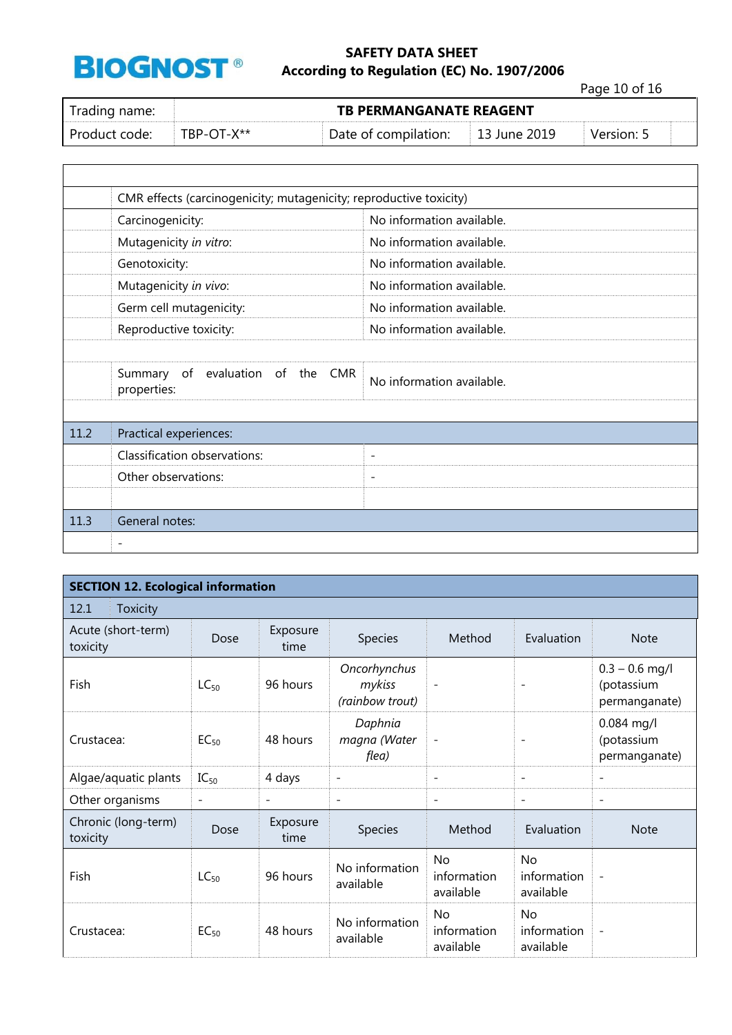

Page 10 of 16

| Trading name: |               | <b>TB PERMANGANATE REAGENT</b>    |  |            |  |  |  |  |
|---------------|---------------|-----------------------------------|--|------------|--|--|--|--|
| Product code: | $TRP-OT-X***$ | Date of compilation: 13 June 2019 |  | Version: 5 |  |  |  |  |

|      | CMR effects (carcinogenicity; mutagenicity; reproductive toxicity) |                           |
|------|--------------------------------------------------------------------|---------------------------|
|      | Carcinogenicity:                                                   | No information available. |
|      | Mutagenicity in vitro:                                             | No information available. |
|      | Genotoxicity:                                                      | No information available. |
|      | Mutagenicity in vivo:                                              | No information available. |
|      | Germ cell mutagenicity:                                            | No information available. |
|      | Reproductive toxicity:                                             | No information available. |
|      |                                                                    |                           |
|      | Summary of evaluation of the CMR<br>properties:                    | No information available. |
|      |                                                                    |                           |
| 11.2 | Practical experiences:                                             |                           |
|      | Classification observations:                                       | $\overline{\phantom{a}}$  |
|      | Other observations:                                                | $\overline{\phantom{a}}$  |
|      |                                                                    |                           |
| 11.3 | General notes:                                                     |                           |
|      | $\qquad \qquad$                                                    |                           |

| <b>SECTION 12. Ecological information</b> |                          |                  |                                           |                                       |                                |                                                 |  |
|-------------------------------------------|--------------------------|------------------|-------------------------------------------|---------------------------------------|--------------------------------|-------------------------------------------------|--|
| 12.1<br>Toxicity                          |                          |                  |                                           |                                       |                                |                                                 |  |
| Acute (short-term)<br>toxicity            | Dose                     | Exposure<br>time | Species                                   | Method                                | Evaluation                     | <b>Note</b>                                     |  |
| Fish                                      | $LC_{50}$                | 96 hours         | Oncorhynchus<br>mykiss<br>(rainbow trout) |                                       |                                | $0.3 - 0.6$ mg/l<br>(potassium<br>permanganate) |  |
| Crustacea:                                | $EC_{50}$                | 48 hours         | Daphnia<br>magna (Water<br>flea)          | $\overline{\phantom{a}}$              |                                | $0.084$ mg/l<br>(potassium<br>permanganate)     |  |
| Algae/aquatic plants                      | $IC_{50}$                | 4 days           | $\overline{\phantom{a}}$                  | $\overline{\phantom{a}}$              | $\overline{\phantom{0}}$       | $\overline{\phantom{a}}$                        |  |
| Other organisms                           | $\overline{\phantom{a}}$ | -                | $\overline{\phantom{a}}$                  | $\overline{\phantom{a}}$              | $\overline{\phantom{a}}$       | $\overline{\phantom{a}}$                        |  |
| Chronic (long-term)<br>toxicity           | Dose                     | Exposure<br>time | Species                                   | Method                                | Evaluation                     | <b>Note</b>                                     |  |
| Fish                                      | $LC_{50}$                | 96 hours         | No information<br>available               | No<br>information<br>available        | No<br>information<br>available | $\overline{\phantom{0}}$                        |  |
| Crustacea:                                | $EC_{50}$                | 48 hours         | No information<br>available               | <b>No</b><br>information<br>available | No<br>information<br>available | $\overline{\phantom{a}}$                        |  |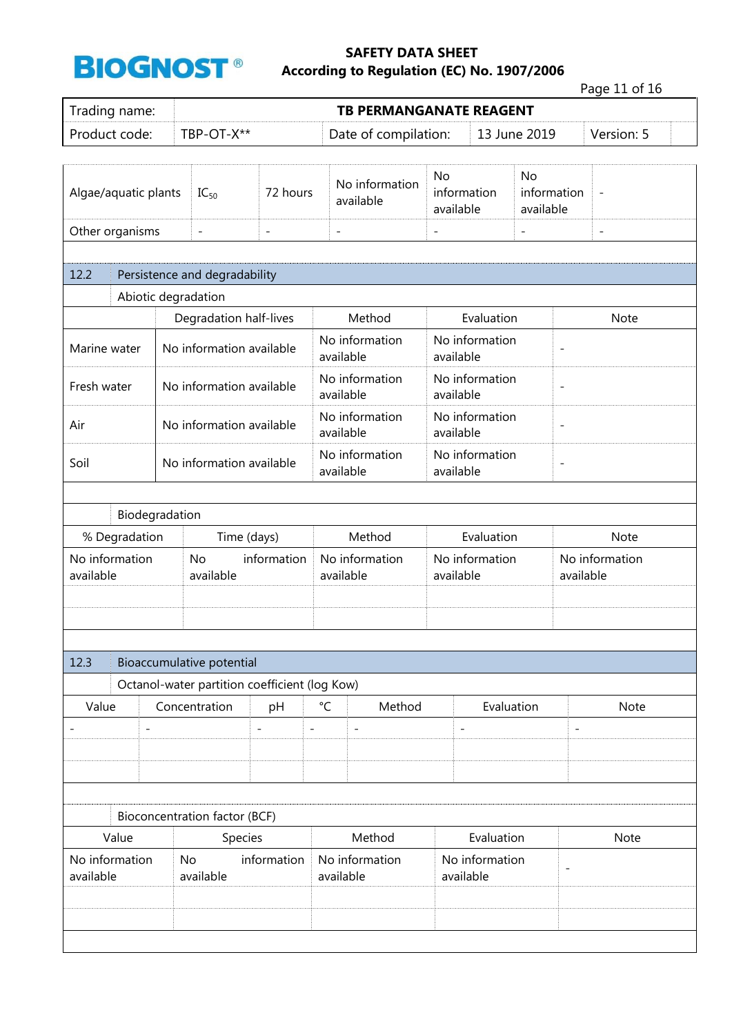

Page 11 of 16

| Trading name:               |                                                   |                                               |                          |                             | <b>TB PERMANGANATE REAGENT</b> |                                                         |                                       |                          | $1$ agd $11$ or $10$ |  |
|-----------------------------|---------------------------------------------------|-----------------------------------------------|--------------------------|-----------------------------|--------------------------------|---------------------------------------------------------|---------------------------------------|--------------------------|----------------------|--|
| Product code:<br>TBP-OT-X** |                                                   |                                               |                          |                             | Date of compilation:           |                                                         |                                       | 13 June 2019             | Version: 5           |  |
|                             | 72 hours<br>Algae/aquatic plants<br>$IC_{50}$     |                                               |                          | No information<br>available |                                | information<br>available                                | <b>No</b><br>information<br>available | $\overline{\phantom{m}}$ |                      |  |
|                             | Other organisms<br>$\frac{1}{2}$<br>$\frac{1}{2}$ |                                               | $\overline{\phantom{0}}$ |                             |                                |                                                         | $\bar{\phantom{a}}$                   | $\overline{\phantom{a}}$ |                      |  |
| 12.2                        |                                                   | Persistence and degradability                 |                          |                             |                                |                                                         |                                       |                          |                      |  |
|                             |                                                   | Abiotic degradation                           |                          |                             |                                |                                                         |                                       |                          |                      |  |
|                             |                                                   | Degradation half-lives                        |                          |                             | Method                         |                                                         | Evaluation                            |                          | Note                 |  |
| Marine water                |                                                   | No information available                      |                          |                             | No information<br>available    | available                                               | No information                        | $\overline{a}$           |                      |  |
| Fresh water                 |                                                   | No information available                      |                          |                             | No information<br>available    | available                                               | No information                        | $\overline{a}$           |                      |  |
| Air                         |                                                   | No information available                      |                          |                             | No information<br>available    | available                                               | No information                        | $\overline{a}$           |                      |  |
| Soil                        | No information available                          |                                               |                          | No information<br>available |                                | No information<br>$\overline{\phantom{a}}$<br>available |                                       |                          |                      |  |
| Biodegradation              |                                                   |                                               |                          |                             |                                |                                                         |                                       |                          |                      |  |
| % Degradation               |                                                   | Time (days)                                   |                          |                             | Method                         |                                                         | Evaluation                            |                          | Note                 |  |
| No information<br>available |                                                   | <b>No</b><br>available                        | information              |                             | No information<br>available    | available                                               | No information                        | available                | No information       |  |
|                             |                                                   |                                               |                          |                             |                                |                                                         |                                       |                          |                      |  |
| 12.3                        |                                                   | Bioaccumulative potential                     |                          |                             |                                |                                                         |                                       |                          |                      |  |
|                             |                                                   | Octanol-water partition coefficient (log Kow) |                          |                             |                                |                                                         |                                       |                          |                      |  |
| Value                       |                                                   | Concentration                                 | pH                       | $^{\circ}C$                 | Method                         |                                                         | Evaluation                            |                          | Note                 |  |
|                             |                                                   |                                               | $\overline{a}$           | $\overline{\phantom{a}}$    | $\overline{\phantom{a}}$       | $\overline{\phantom{0}}$                                |                                       | $\overline{a}$           |                      |  |
|                             |                                                   |                                               |                          |                             |                                |                                                         |                                       |                          |                      |  |
|                             |                                                   | Bioconcentration factor (BCF)                 |                          |                             |                                |                                                         |                                       |                          |                      |  |
| Value                       |                                                   | Species                                       |                          |                             | Method                         |                                                         | Evaluation                            |                          | Note                 |  |
| No information<br>available |                                                   | No<br>available                               | information              |                             | No information<br>available    |                                                         | No information<br>available           | $\overline{\phantom{a}}$ |                      |  |
|                             |                                                   |                                               |                          |                             |                                |                                                         |                                       |                          |                      |  |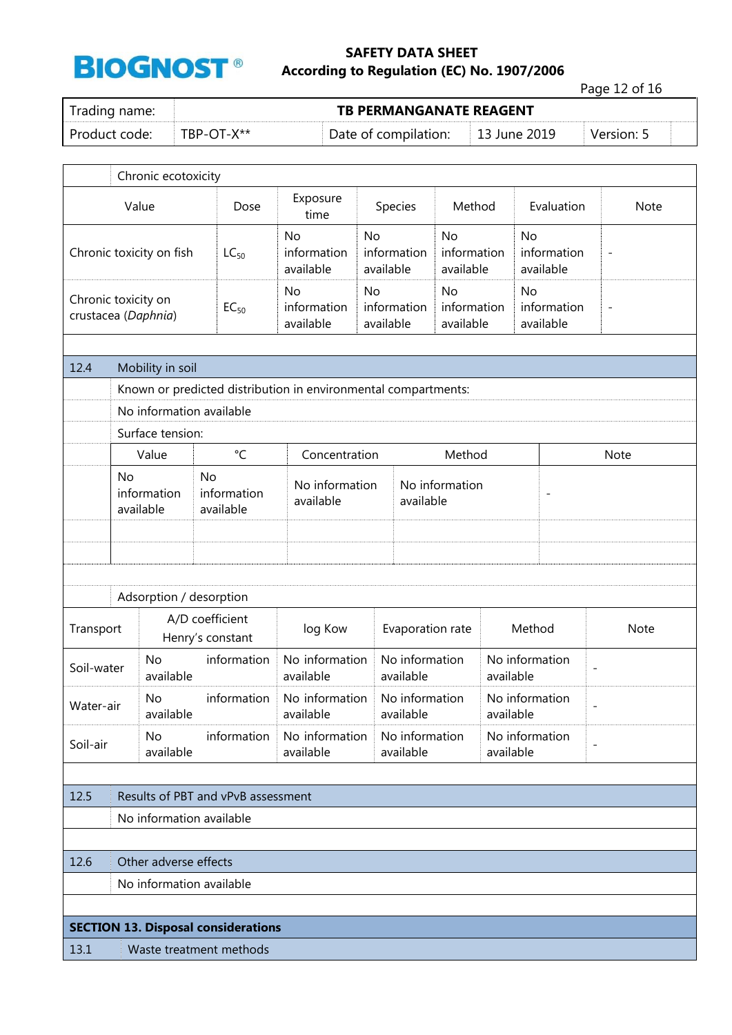

Page 12 of 16

| Trading name:                              |                     |                        | <b>TB PERMANGANATE REAGENT</b> |                                            |                                |                                 |                          |
|--------------------------------------------|---------------------|------------------------|--------------------------------|--------------------------------------------|--------------------------------|---------------------------------|--------------------------|
| Product code:                              | TBP-OT-X**          |                        |                                | Date of compilation:                       |                                | 13 June 2019                    | Version: 5               |
|                                            | Chronic ecotoxicity |                        |                                |                                            |                                |                                 |                          |
| Value                                      |                     | Dose                   | Exposure<br>time               | Species                                    | Method                         | Evaluation                      | Note                     |
| Chronic toxicity on fish                   | $LC_{50}$           | <b>No</b><br>available | information                    | N <sub>o</sub><br>information<br>available | No<br>information<br>available | No<br>information<br>available  | $\overline{\phantom{a}}$ |
| Chronic toxicity on<br>crustacea (Daphnia) | $EC_{50}$           | No<br>available        | information                    | No.<br>information<br>available            | No<br>information<br>available | No.<br>information<br>available | $\overline{\phantom{a}}$ |

| 12.4       |                                                                                                                                                                | Mobility in soil                                               |                                       |                             |                             |                             |                             |  |                          |  |
|------------|----------------------------------------------------------------------------------------------------------------------------------------------------------------|----------------------------------------------------------------|---------------------------------------|-----------------------------|-----------------------------|-----------------------------|-----------------------------|--|--------------------------|--|
|            |                                                                                                                                                                | Known or predicted distribution in environmental compartments: |                                       |                             |                             |                             |                             |  |                          |  |
|            |                                                                                                                                                                | No information available                                       |                                       |                             |                             |                             |                             |  |                          |  |
|            | Surface tension:<br>$^{\circ}$ C<br>Value<br>Concentration<br>Method<br>Note                                                                                   |                                                                |                                       |                             |                             |                             |                             |  |                          |  |
|            |                                                                                                                                                                |                                                                |                                       |                             |                             |                             |                             |  |                          |  |
|            | <b>No</b>                                                                                                                                                      | information<br>available                                       | <b>No</b><br>information<br>available | No information<br>available |                             | No information<br>available |                             |  |                          |  |
|            |                                                                                                                                                                |                                                                |                                       |                             |                             |                             |                             |  |                          |  |
|            |                                                                                                                                                                | Adsorption / desorption                                        |                                       |                             |                             |                             |                             |  |                          |  |
| Transport  |                                                                                                                                                                |                                                                | A/D coefficient<br>Henry's constant   | log Kow                     |                             | Evaporation rate            | Method                      |  | Note                     |  |
| Soil-water |                                                                                                                                                                | <b>No</b><br>available                                         | information                           | No information<br>available |                             | No information<br>available | No information<br>available |  | $\overline{\phantom{a}}$ |  |
| Water-air  |                                                                                                                                                                | <b>No</b><br>available                                         | information                           | No information<br>available | No information<br>available |                             | No information<br>available |  | $\overline{\phantom{a}}$ |  |
| Soil-air   | information<br>No information<br>No information<br><b>No</b><br>No information<br>$\overline{\phantom{a}}$<br>available<br>available<br>available<br>available |                                                                |                                       |                             |                             |                             |                             |  |                          |  |
|            |                                                                                                                                                                |                                                                |                                       |                             |                             |                             |                             |  |                          |  |
| 12.5       |                                                                                                                                                                |                                                                | Results of PBT and vPvB assessment    |                             |                             |                             |                             |  |                          |  |
|            |                                                                                                                                                                | No information available                                       |                                       |                             |                             |                             |                             |  |                          |  |
|            |                                                                                                                                                                |                                                                |                                       |                             |                             |                             |                             |  |                          |  |
| 12.6       |                                                                                                                                                                | Other adverse effects                                          |                                       |                             |                             |                             |                             |  |                          |  |
|            |                                                                                                                                                                | $\mathbf{v}$ . The state $\mathbf{v}$                          |                                       |                             |                             |                             |                             |  |                          |  |

No information available

#### **SECTION 13. Disposal considerations**

13.1 Waste treatment methods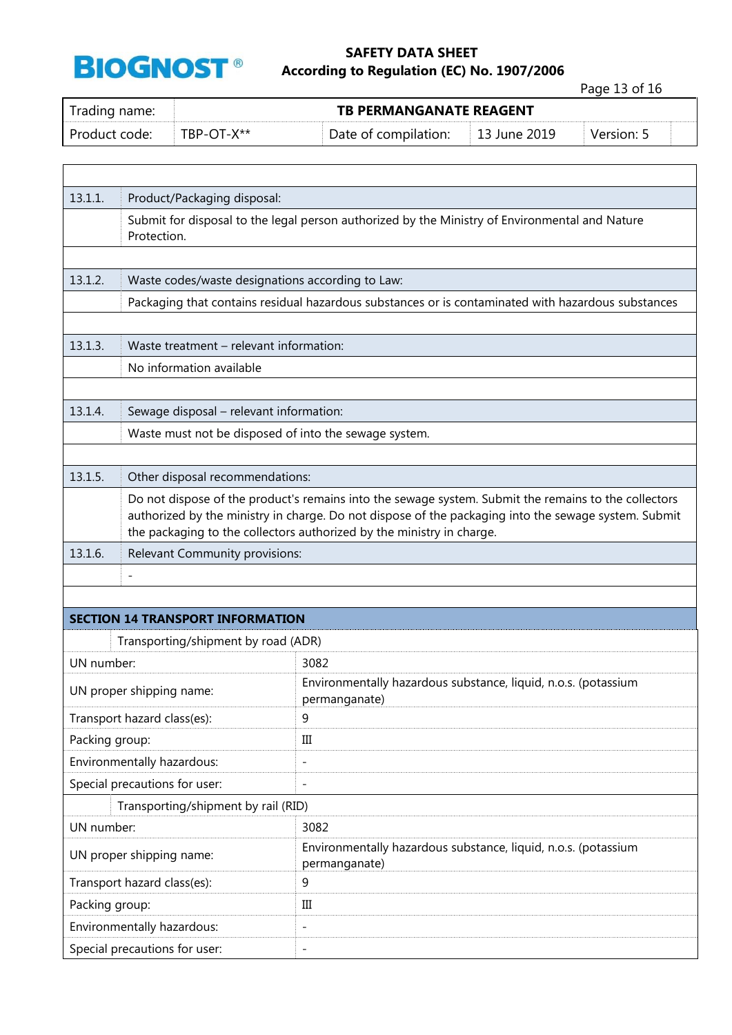

 $\Gamma$ 

## **SAFETY DATA SHEET BIOGNOST**<sup>®</sup> According to Regulation (EC) No. 1907/2006

Page 13 of 16

٦

| Trading name: | <b>TB PERMANGANATE REAGENT</b> |                      |              |            |  |  |
|---------------|--------------------------------|----------------------|--------------|------------|--|--|
| Product code: | $TBP-OT-X**$                   | Date of compilation: | 13 June 2019 | Version: 5 |  |  |

| 13.1.1.        | Product/Packaging disposal:                                                                                                                                                                                                                                                           |                                                                                                    |  |  |  |  |  |
|----------------|---------------------------------------------------------------------------------------------------------------------------------------------------------------------------------------------------------------------------------------------------------------------------------------|----------------------------------------------------------------------------------------------------|--|--|--|--|--|
|                | Protection.                                                                                                                                                                                                                                                                           | Submit for disposal to the legal person authorized by the Ministry of Environmental and Nature     |  |  |  |  |  |
|                |                                                                                                                                                                                                                                                                                       |                                                                                                    |  |  |  |  |  |
| 13.1.2.        | Waste codes/waste designations according to Law:                                                                                                                                                                                                                                      |                                                                                                    |  |  |  |  |  |
|                |                                                                                                                                                                                                                                                                                       | Packaging that contains residual hazardous substances or is contaminated with hazardous substances |  |  |  |  |  |
|                |                                                                                                                                                                                                                                                                                       |                                                                                                    |  |  |  |  |  |
| 13.1.3.        | Waste treatment - relevant information:                                                                                                                                                                                                                                               |                                                                                                    |  |  |  |  |  |
|                | No information available                                                                                                                                                                                                                                                              |                                                                                                    |  |  |  |  |  |
|                |                                                                                                                                                                                                                                                                                       |                                                                                                    |  |  |  |  |  |
| 13.1.4.        | Sewage disposal - relevant information:                                                                                                                                                                                                                                               |                                                                                                    |  |  |  |  |  |
|                | Waste must not be disposed of into the sewage system.                                                                                                                                                                                                                                 |                                                                                                    |  |  |  |  |  |
|                |                                                                                                                                                                                                                                                                                       |                                                                                                    |  |  |  |  |  |
| 13.1.5.        | Other disposal recommendations:                                                                                                                                                                                                                                                       |                                                                                                    |  |  |  |  |  |
|                | Do not dispose of the product's remains into the sewage system. Submit the remains to the collectors<br>authorized by the ministry in charge. Do not dispose of the packaging into the sewage system. Submit<br>the packaging to the collectors authorized by the ministry in charge. |                                                                                                    |  |  |  |  |  |
| 13.1.6.        | Relevant Community provisions:                                                                                                                                                                                                                                                        |                                                                                                    |  |  |  |  |  |
|                |                                                                                                                                                                                                                                                                                       |                                                                                                    |  |  |  |  |  |
|                |                                                                                                                                                                                                                                                                                       |                                                                                                    |  |  |  |  |  |
|                | <b>SECTION 14 TRANSPORT INFORMATION</b>                                                                                                                                                                                                                                               |                                                                                                    |  |  |  |  |  |
|                | Transporting/shipment by road (ADR)                                                                                                                                                                                                                                                   |                                                                                                    |  |  |  |  |  |
| UN number:     |                                                                                                                                                                                                                                                                                       | 3082                                                                                               |  |  |  |  |  |
|                | UN proper shipping name:                                                                                                                                                                                                                                                              | Environmentally hazardous substance, liquid, n.o.s. (potassium<br>permanganate)                    |  |  |  |  |  |
|                | Transport hazard class(es):                                                                                                                                                                                                                                                           | 9                                                                                                  |  |  |  |  |  |
| Packing group: |                                                                                                                                                                                                                                                                                       | Ш                                                                                                  |  |  |  |  |  |
|                | Environmentally hazardous:                                                                                                                                                                                                                                                            | Ĭ.                                                                                                 |  |  |  |  |  |
|                | Special precautions for user:                                                                                                                                                                                                                                                         |                                                                                                    |  |  |  |  |  |
|                | Transporting/shipment by rail (RID)                                                                                                                                                                                                                                                   |                                                                                                    |  |  |  |  |  |
|                | UN number:<br>3082                                                                                                                                                                                                                                                                    |                                                                                                    |  |  |  |  |  |
|                | UN proper shipping name:                                                                                                                                                                                                                                                              | Environmentally hazardous substance, liquid, n.o.s. (potassium<br>permanganate)                    |  |  |  |  |  |
|                | Transport hazard class(es):                                                                                                                                                                                                                                                           | 9                                                                                                  |  |  |  |  |  |
| Packing group: |                                                                                                                                                                                                                                                                                       | Ш                                                                                                  |  |  |  |  |  |
|                | Environmentally hazardous:                                                                                                                                                                                                                                                            | $\qquad \qquad -$                                                                                  |  |  |  |  |  |
|                | Special precautions for user:                                                                                                                                                                                                                                                         | $\qquad \qquad -$                                                                                  |  |  |  |  |  |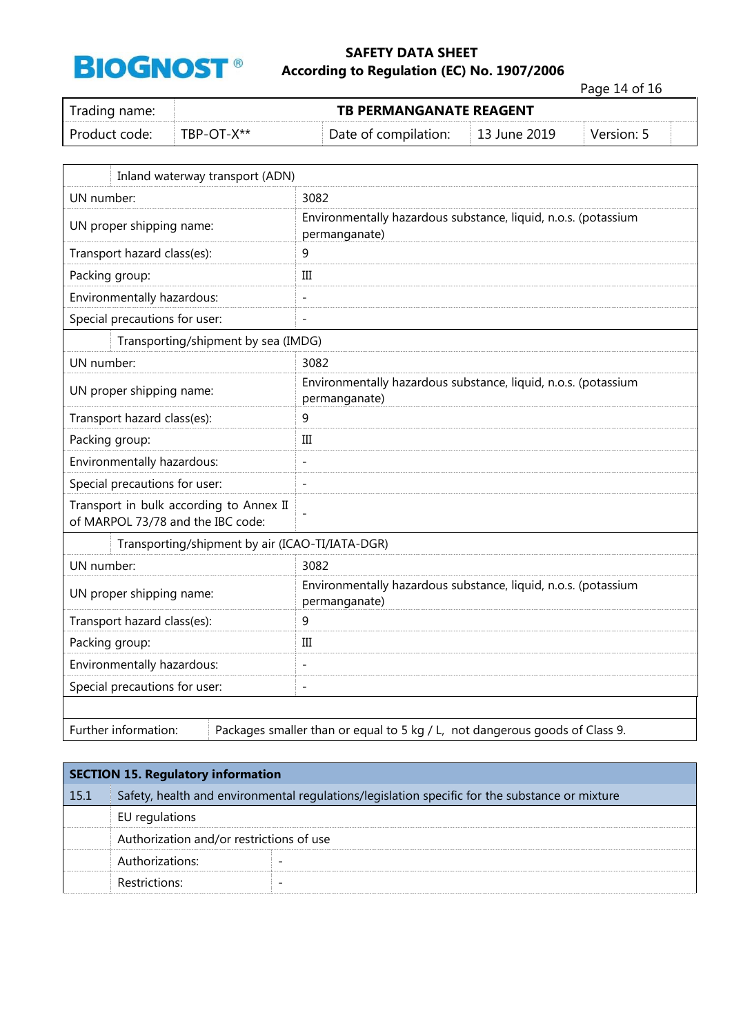

Page 14 of 16

| Trading name: |            | <b>TB PERMANGANATE REAGENT</b> |              |            |  |  |  |  |  |
|---------------|------------|--------------------------------|--------------|------------|--|--|--|--|--|
| Product code: | TBP-OT-X** | Date of compilation:           | 13 June 2019 | Version: 5 |  |  |  |  |  |

| Inland waterway transport (ADN)                                              |                                                                                 |  |
|------------------------------------------------------------------------------|---------------------------------------------------------------------------------|--|
| UN number:                                                                   | 3082                                                                            |  |
| UN proper shipping name:                                                     | Environmentally hazardous substance, liquid, n.o.s. (potassium<br>permanganate) |  |
| Transport hazard class(es):                                                  | 9                                                                               |  |
| Packing group:                                                               | Ш                                                                               |  |
| Environmentally hazardous:                                                   | $\overline{a}$                                                                  |  |
| Special precautions for user:                                                | $\overline{a}$                                                                  |  |
| Transporting/shipment by sea (IMDG)                                          |                                                                                 |  |
| UN number:                                                                   | 3082                                                                            |  |
| UN proper shipping name:                                                     | Environmentally hazardous substance, liquid, n.o.s. (potassium<br>permanganate) |  |
| Transport hazard class(es):                                                  | 9                                                                               |  |
| Packing group:                                                               | III                                                                             |  |
| Environmentally hazardous:                                                   | $\overline{a}$                                                                  |  |
| Special precautions for user:                                                | $\qquad \qquad -$                                                               |  |
| Transport in bulk according to Annex II<br>of MARPOL 73/78 and the IBC code: |                                                                                 |  |
| Transporting/shipment by air (ICAO-TI/IATA-DGR)                              |                                                                                 |  |
| UN number:                                                                   | 3082                                                                            |  |
| UN proper shipping name:                                                     | Environmentally hazardous substance, liquid, n.o.s. (potassium<br>permanganate) |  |
| Transport hazard class(es):                                                  | 9                                                                               |  |
| Packing group:                                                               | III                                                                             |  |
| Environmentally hazardous:                                                   | $\overline{a}$                                                                  |  |
| Special precautions for user:                                                | $\overline{a}$                                                                  |  |
|                                                                              |                                                                                 |  |
| Further information:                                                         | Packages smaller than or equal to 5 kg / L, not dangerous goods of Class 9.     |  |

|      | <b>SECTION 15. Regulatory information</b>                                                      |  |  |  |
|------|------------------------------------------------------------------------------------------------|--|--|--|
| 15.1 | Safety, health and environmental regulations/legislation specific for the substance or mixture |  |  |  |
|      | EU regulations                                                                                 |  |  |  |
|      | Authorization and/or restrictions of use                                                       |  |  |  |
|      | Authorizations:                                                                                |  |  |  |
|      | Restrictions:                                                                                  |  |  |  |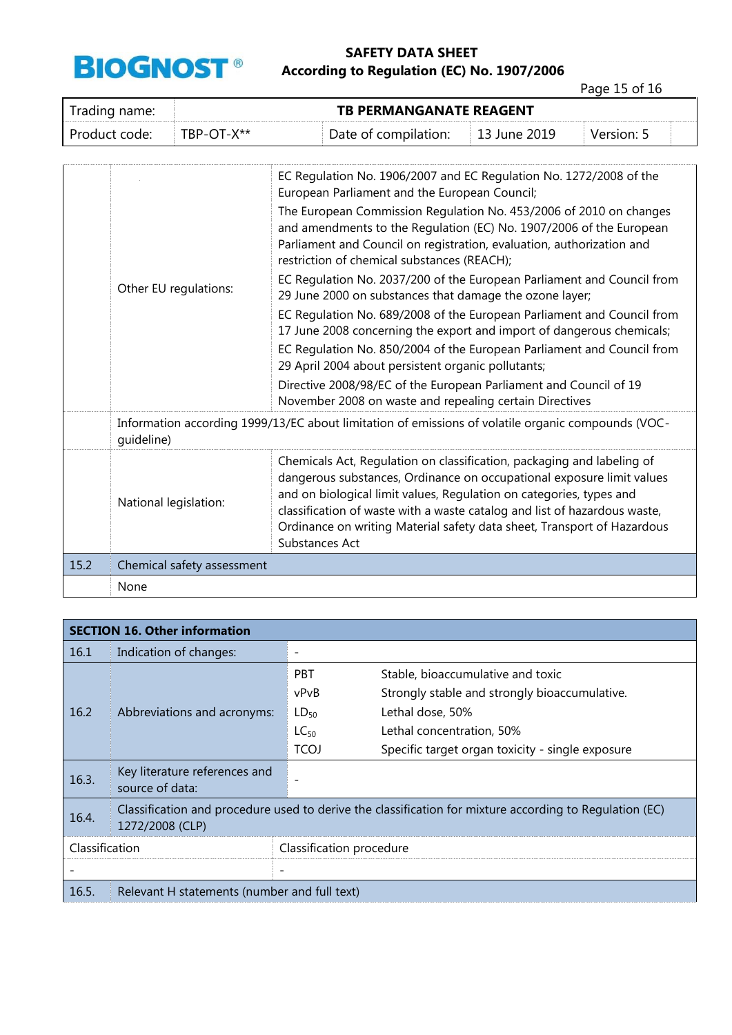

Page 15 of 16

| Trading name: | <b>TB PERMANGANATE REAGENT</b> |                      |                          |            |  |
|---------------|--------------------------------|----------------------|--------------------------|------------|--|
| Product code: | TBP-OT-X**                     | Date of compilation: | $\parallel$ 13 June 2019 | Version: 5 |  |

|      |                                                                                                                  | EC Regulation No. 1906/2007 and EC Regulation No. 1272/2008 of the<br>European Parliament and the European Council;                                                                                                                                                                                                                                                                              |  |
|------|------------------------------------------------------------------------------------------------------------------|--------------------------------------------------------------------------------------------------------------------------------------------------------------------------------------------------------------------------------------------------------------------------------------------------------------------------------------------------------------------------------------------------|--|
|      | Other EU regulations:                                                                                            | The European Commission Regulation No. 453/2006 of 2010 on changes<br>and amendments to the Regulation (EC) No. 1907/2006 of the European<br>Parliament and Council on registration, evaluation, authorization and<br>restriction of chemical substances (REACH);                                                                                                                                |  |
|      |                                                                                                                  | EC Regulation No. 2037/200 of the European Parliament and Council from<br>29 June 2000 on substances that damage the ozone layer;                                                                                                                                                                                                                                                                |  |
|      |                                                                                                                  | EC Regulation No. 689/2008 of the European Parliament and Council from<br>17 June 2008 concerning the export and import of dangerous chemicals;                                                                                                                                                                                                                                                  |  |
|      |                                                                                                                  | EC Regulation No. 850/2004 of the European Parliament and Council from<br>29 April 2004 about persistent organic pollutants;                                                                                                                                                                                                                                                                     |  |
|      |                                                                                                                  | Directive 2008/98/EC of the European Parliament and Council of 19<br>November 2008 on waste and repealing certain Directives                                                                                                                                                                                                                                                                     |  |
|      | Information according 1999/13/EC about limitation of emissions of volatile organic compounds (VOC-<br>quideline) |                                                                                                                                                                                                                                                                                                                                                                                                  |  |
|      | National legislation:                                                                                            | Chemicals Act, Regulation on classification, packaging and labeling of<br>dangerous substances, Ordinance on occupational exposure limit values<br>and on biological limit values, Regulation on categories, types and<br>classification of waste with a waste catalog and list of hazardous waste,<br>Ordinance on writing Material safety data sheet, Transport of Hazardous<br>Substances Act |  |
| 15.2 | Chemical safety assessment                                                                                       |                                                                                                                                                                                                                                                                                                                                                                                                  |  |
|      | None                                                                                                             |                                                                                                                                                                                                                                                                                                                                                                                                  |  |

| <b>SECTION 16. Other information</b> |                                                                                                                            |                          |                                                  |
|--------------------------------------|----------------------------------------------------------------------------------------------------------------------------|--------------------------|--------------------------------------------------|
| 16.1                                 | Indication of changes:                                                                                                     |                          |                                                  |
|                                      |                                                                                                                            | <b>PBT</b>               | Stable, bioaccumulative and toxic                |
|                                      | Abbreviations and acronyms:                                                                                                | vPvB                     | Strongly stable and strongly bioaccumulative.    |
| 16.2                                 |                                                                                                                            | $LD_{50}$                | Lethal dose, 50%                                 |
|                                      |                                                                                                                            | $LC_{50}$                | Lethal concentration, 50%                        |
|                                      |                                                                                                                            | <b>TCOJ</b>              | Specific target organ toxicity - single exposure |
| 16.3.                                | Key literature references and<br>source of data:                                                                           |                          |                                                  |
| 16.4.                                | Classification and procedure used to derive the classification for mixture according to Regulation (EC)<br>1272/2008 (CLP) |                          |                                                  |
| Classification                       |                                                                                                                            | Classification procedure |                                                  |
|                                      |                                                                                                                            |                          |                                                  |
| 16.5.                                | Relevant H statements (number and full text)                                                                               |                          |                                                  |